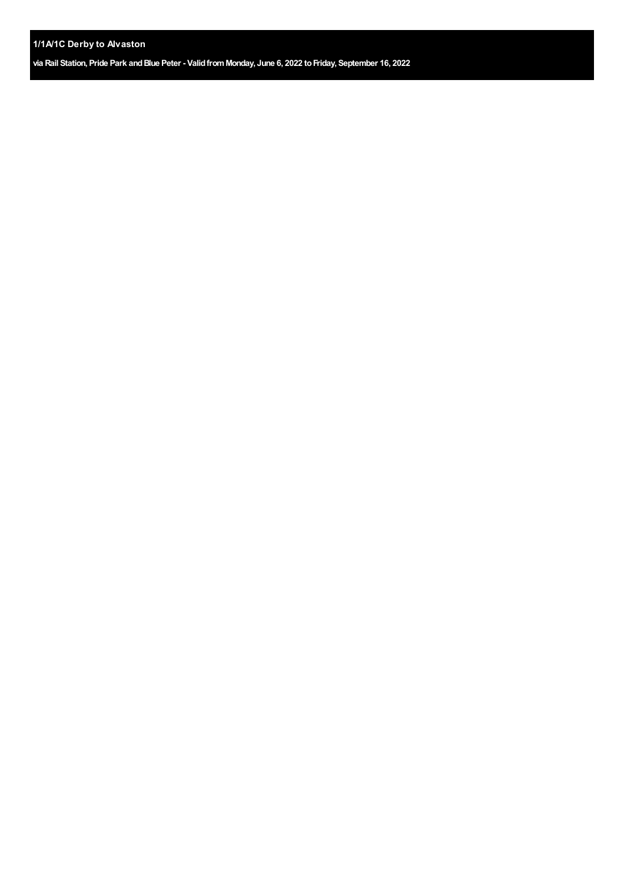**via Rail Station, Pride Park andBlue Peter - ValidfromMonday, June 6, 2022 toFriday, September 16, 2022**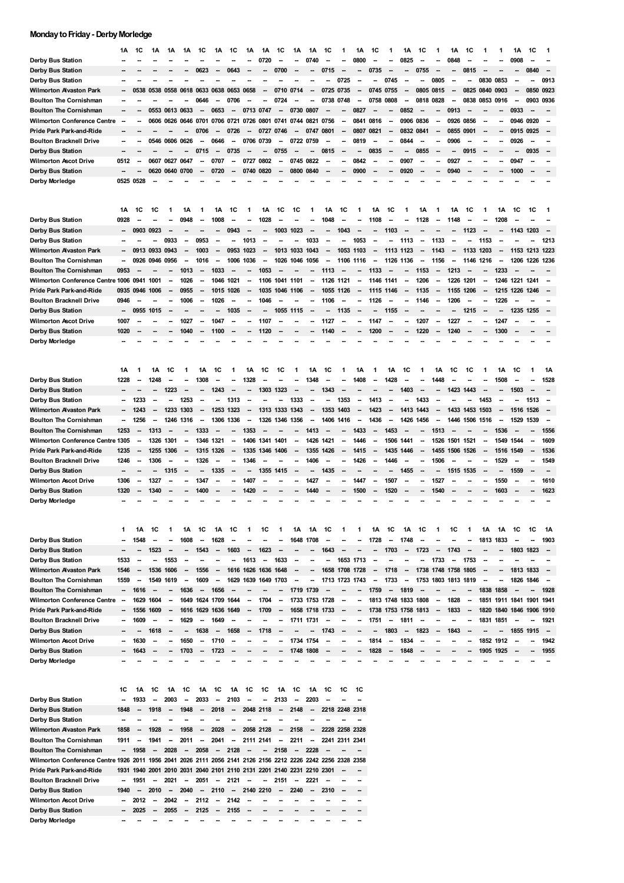## **Monday to Friday - Derby Morledge**

|                                                         | 1Α           | 1C                       | 1Α                       | 1Α                       | 1Α                                 | 1C                             | 1Α                                 | 1C                       | 1Α                       | 1Α                                         | 1C                       | 1Α                            | 1Α                       | 1C                       |                                  | 1Α                       | 1C                               | 1            | 1Α                                 | 1C   | 1                        | 1Α                       | 1C        |                          |                               | 1Α                       | 1C   |                                                      |
|---------------------------------------------------------|--------------|--------------------------|--------------------------|--------------------------|------------------------------------|--------------------------------|------------------------------------|--------------------------|--------------------------|--------------------------------------------|--------------------------|-------------------------------|--------------------------|--------------------------|----------------------------------|--------------------------|----------------------------------|--------------|------------------------------------|------|--------------------------|--------------------------|-----------|--------------------------|-------------------------------|--------------------------|------|------------------------------------------------------|
| Derby Bus Station                                       |              |                          |                          |                          |                                    |                                |                                    |                          |                          | 0720                                       |                          |                               | 0740                     |                          |                                  | 0800                     |                                  |              | 0825                               |      |                          | 0848                     |           |                          |                               | 0908                     |      |                                                      |
| Derby Bus Station                                       |              |                          |                          |                          |                                    | 0623                           |                                    | 0643                     |                          |                                            | 0700                     |                               |                          | 0715                     |                                  |                          | 0735                             |              |                                    | 0755 |                          | --                       | 0815      |                          |                               |                          | 0840 | -                                                    |
| <b>Derby Bus Station</b>                                |              |                          |                          |                          |                                    |                                |                                    |                          |                          |                                            |                          |                               |                          |                          | 0725                             |                          | --                               | 0745         |                                    | --   | 0805                     | -                        |           | 0830 0853                |                               |                          |      | 0913                                                 |
| Wilmorton Alvaston Park                                 |              | 0538                     | 0538 0558 0618           |                          |                                    |                                | 0633 0638 0653                     |                          | 0658                     |                                            | 0710                     | 0714                          |                          | 0725                     | 0735                             |                          | 0745                             | 0755         |                                    | 0805 | 0815                     | -                        | 0825      | 0840                     | 0903                          |                          | 0850 | 0923                                                 |
| <b>Boulton The Cornishman</b>                           |              |                          |                          |                          |                                    | 0646                           | $\overline{\phantom{a}}$           | 0706                     |                          | --                                         | 0724                     |                               | --                       | 0738                     | 0748                             | --                       | 0758                             | 0808         | --                                 | 0818 | 0828                     | $\overline{\phantom{a}}$ | 0838      | 0853                     | 0916                          | $\overline{\phantom{a}}$ | 0903 | 0936                                                 |
| <b>Boulton The Cornishman</b>                           |              |                          |                          | 0553 0613 0633           |                                    | $\overline{\phantom{a}}$       | 0653                               |                          | 0713 0747                |                                            | --                       | 0730                          | 0807                     |                          |                                  | 0827                     |                                  |              | 0852                               |      |                          | 0913                     |           |                          |                               | 0933                     |      |                                                      |
| <b>Wilmorton Conference Centre</b>                      |              |                          | 0606                     | 0626 0646                |                                    | 0701 0706                      |                                    | 0721                     | 0726                     | 0801                                       | 0741                     | 0744                          | 0821                     | 0756                     | --                               | 0841                     | 0816                             | -            | 0906 0836                          |      | --                       | 0926                     | 0856      |                          | --                            | 0946 0920                |      |                                                      |
| Pride Park Park-and-Ride                                |              |                          |                          |                          |                                    | 0706                           |                                    | 0726                     |                          | 0727                                       | 0746                     | --                            | 0747                     | 0801                     |                                  | 0807                     | 0821                             |              | 0832 0841                          |      | --                       | 0855                     | 0901      |                          |                               | 0915 0925                |      |                                                      |
| <b>Boulton Bracknell Drive</b>                          |              |                          |                          | 0546 0606 0626           |                                    |                                | 0646                               |                          | 0706                     | 0739                                       | --                       | 0722 0759                     |                          |                          |                                  | 0819                     |                                  |              | 0844                               |      |                          | 0906                     |           |                          |                               | 0926                     |      |                                                      |
| Derby Bus Station                                       | -−           |                          |                          |                          |                                    | 0715                           | $\overline{\phantom{a}}$           | 0735                     |                          |                                            | 0755                     | --                            |                          | 0815                     |                                  |                          | 0835                             |              | ۰.                                 | 0855 | ٠.                       | --                       | 0915      |                          |                               | -                        | 0935 |                                                      |
| <b>Wilmorton Ascot Drive</b>                            | 0512         | --                       |                          | 0607 0627 0647           |                                    | -                              | 0707                               | --                       | 0727                     | 0802                                       | -                        | 0745                          | 0822                     |                          | --                               | 0842                     | --                               |              | 0907                               | --   | --                       | 0927                     |           |                          |                               | 0947                     |      |                                                      |
| Derby Bus Station                                       | --           |                          | 0620                     | 0640 0700                |                                    | $\overline{\phantom{a}}$       | 0720                               | -                        | 0740                     | 0820                                       | --                       | 0800                          | 0840                     |                          |                                  | 0900                     |                                  |              | 0920                               |      |                          | 0940                     |           |                          |                               | 1000                     |      |                                                      |
| Derby Morledge                                          | 0525 0528    |                          |                          |                          |                                    |                                |                                    |                          |                          |                                            |                          |                               |                          |                          |                                  |                          |                                  |              |                                    |      |                          |                          |           |                          |                               |                          |      |                                                      |
|                                                         | 1Α           | 1C                       | 1C                       | 1                        | 1Α                                 | 1                              | 1Α                                 | 1C                       | 1                        | 1Α                                         | 1C                       | 1C                            | 1                        | 1Α                       | 1C                               | 1                        | 1Α                               | 1C           |                                    | 1Α   | 1                        | 1Α                       | 1C        |                          | 1А                            | 1C                       | 1C   | 1                                                    |
| Derby Bus Station                                       | 0928         |                          |                          |                          | 0948                               | --                             | 1008                               | -                        |                          | 1028                                       |                          |                               |                          | 1048                     | --                               |                          | 1108                             |              |                                    | 1128 | --                       | 1148                     |           |                          | 1208                          |                          |      |                                                      |
| Derby Bus Station                                       | −−           | 0903 0923                |                          | $\sim$                   |                                    |                                |                                    | 0943                     | -                        |                                            | 1003 1023                |                               | --                       | --                       | 1043                             | $\sim$                   | ш.                               | 1103         |                                    | --   |                          |                          | 1123      | $\overline{\phantom{a}}$ | --                            | 1143 1203                |      | $\overline{\phantom{a}}$                             |
| Derby Bus Station                                       | --           |                          |                          | 0933                     |                                    | 0953                           |                                    | $\overline{\phantom{a}}$ | 1013                     |                                            | --                       |                               | 1033                     |                          | --                               | 1053                     |                                  |              | 1113                               | --   | 1133                     |                          |           | 1153                     |                               |                          |      | 1213                                                 |
| <b>Wilmorton Avaston Park</b>                           |              |                          | 0913 0933 0943           |                          |                                    | 1003                           | --                                 | 0953                     | 1023                     | --                                         |                          | 1013 1033                     | 1043                     | $\overline{\phantom{a}}$ | 1053 1103                        |                          | $\overline{\phantom{a}}$         | 1113 1123    |                                    | --   | 1143                     | -                        | 1133 1203 |                          | $\overline{\phantom{a}}$      | 1153 1213 1223           |      |                                                      |
| <b>Boulton The Cornishman</b>                           | --           |                          | 0926 0946 0956           |                          |                                    | 1016                           | $\overline{\phantom{a}}$           | 1006                     | 1036                     | --                                         | 1026                     | 1046                          | 1056                     |                          | 1106 1116                        |                          | --                               | 1126 1136    |                                    | --   | 1156                     | -                        | 1146 1216 |                          |                               | 1206 1226 1236           |      |                                                      |
| <b>Boulton The Cornishman</b>                           | 0953         |                          |                          |                          | 1013                               |                                | 1033                               |                          |                          | 1053                                       |                          |                               |                          | 1113                     |                                  |                          | 1133                             |              |                                    | 1153 | --                       | 1213                     |           |                          | 1233                          |                          |      |                                                      |
| Wilmorton Conference Centre 1006 0941 1001              |              |                          |                          | $\overline{\phantom{a}}$ | 1026                               | $\overline{\phantom{a}}$       | 1046                               | 1021                     | $\overline{\phantom{a}}$ | 1106                                       | 1041 1101                |                               | -                        | 1126 1121                |                                  | --                       | 1146 1141                        |              | --                                 | 1206 | --                       | 1226                     | 1201      | -                        | 1246                          | 1221 1241                |      | -                                                    |
| Pride Park Park-and-Ride                                | 0935         | 0946                     | 1006                     |                          | 0955                               |                                | 1015                               | 1026                     | --                       | 1035                                       | 1046 1106                |                               | --                       |                          | 1055 1126                        | $\overline{\phantom{a}}$ | 1115 1146                        |              | --                                 | 1135 | $\overline{\phantom{a}}$ | 1155                     | 1206      |                          | 1215                          | 1226 1246                |      |                                                      |
| <b>Boulton Bracknell Drive</b>                          | 0946         |                          |                          |                          | 1006                               |                                | 1026                               |                          |                          | 1046                                       |                          |                               |                          | 1106                     |                                  |                          | 1126                             |              |                                    | 1146 | --                       | 1206                     |           |                          | 1226                          |                          |      |                                                      |
| Derby Bus Station                                       | ш.           | 0955                     | 1015                     |                          |                                    |                                |                                    | 1035                     |                          |                                            | 1055 1115                |                               |                          |                          | 1135                             |                          |                                  | 1155         |                                    |      |                          | --                       | 1215      |                          |                               | 1235 1255                |      |                                                      |
| <b>Wilmorton Ascot Drive</b>                            | 1007         | --                       |                          |                          | 1027                               |                                | 1047                               | -                        | -                        | 1107                                       |                          |                               |                          | 1127                     |                                  |                          | 1147                             |              |                                    | 1207 | --                       | 1227                     |           |                          | 1247                          |                          |      |                                                      |
| Derby Bus Station                                       | 1020         |                          |                          |                          | 1040                               | $\sim$                         | 1100                               |                          | --                       | 1120                                       | --                       |                               |                          | 1140                     | --                               |                          | 1200                             |              |                                    | 1220 |                          | 1240                     |           |                          | 1300                          |                          |      |                                                      |
| Derby Morledge                                          |              |                          |                          |                          |                                    |                                |                                    |                          |                          |                                            |                          |                               |                          |                          |                                  |                          |                                  |              |                                    |      |                          |                          |           |                          |                               |                          |      |                                                      |
|                                                         | 1Α           | 1                        | 1Α                       | 1C                       | 1                                  | 1Α                             | 1C                                 | 1                        | 1Α                       | 1C                                         | 1C                       | 1                             | 1Α                       | 1C                       | 1                                | 1Α                       | 1                                | 1Α           | 1C                                 | 1    | 1Α                       | 1C                       | 1C        | 1                        | 1Α                            | 1C                       | 1    | 1Α                                                   |
| Derby Bus Station                                       | 1228         | --                       | 1248                     |                          |                                    | 1308                           |                                    |                          | 1328                     |                                            |                          |                               | 1348                     |                          |                                  | 1408                     | --                               | 1428         |                                    |      | 1448                     |                          |           |                          | 1508                          |                          |      | 1528                                                 |
| Derby Bus Station                                       |              |                          |                          | 1223                     |                                    |                                | 1243                               | $\overline{\phantom{a}}$ | -                        | 1303                                       | 1323                     |                               | --                       | 1343                     |                                  |                          |                                  |              | 1403                               | ٠.   |                          | 1423                     | 1443      |                          |                               | 1503                     |      |                                                      |
| Derby Bus Station                                       | Ξ.           | 1233                     | $\overline{\phantom{a}}$ | --                       | 1253                               | -                              | -                                  | 1313                     | --                       |                                            | --                       | 1333                          | -                        | -                        | 1353                             | $\overline{\phantom{a}}$ | 1413                             | --           | --                                 | 1433 | --                       |                          |           | 1453                     | $\overline{\phantom{a}}$      | Ξ.                       | 1513 | -                                                    |
| Wilmorton Avaston Park                                  | --           | 1243                     |                          | 1233                     | 1303                               | $\overline{\phantom{a}}$       | 1253                               | 1323                     | --                       | 1313 1333                                  |                          | 1343                          | $\overline{\phantom{a}}$ | 1353                     | 1403                             | $\overline{\phantom{a}}$ | 1423                             | --           | 1413                               | 1443 | $\sim$                   | 1433                     | 1453      | 1503                     |                               | 1516                     | 1526 | -                                                    |
| <b>Boulton The Cornishman</b>                           | -            | 1256                     |                          | 1246                     | 1316                               |                                | 1306                               | 1336                     | -                        | 1326                                       | 1346                     | 1356                          | --                       | 1406                     | 1416                             |                          | 1436                             | --           | 1426                               | 1456 | --                       | 1446                     | 1506      | 1516                     |                               | 1529                     | 1539 |                                                      |
| <b>Boulton The Cornishman</b>                           | 1253         | --                       | 1313                     | --                       |                                    | 1333                           |                                    |                          | 1353                     |                                            |                          |                               | 1413                     |                          | --                               | 1433                     | $\overline{\phantom{a}}$         | 1453         |                                    | --   | 1513                     |                          |           |                          | 1536                          |                          |      | 1556                                                 |
| Wilmorton Conference Centre 1305                        |              | --                       | 1326                     | 1301                     | $\overline{\phantom{a}}$           | 1346 1321                      |                                    | -                        | 1406                     | 1341                                       | 1401                     | -                             | 1426                     | 1421                     | --                               | 1446                     | --                               | 1506         | 1441                               | --   | 1526                     | 1501                     | 1521      | --                       | 1549                          | 1544                     | -    | 1609                                                 |
| Pride Park Park-and-Ride                                | 1235         | --                       | 1255                     | 1306                     |                                    | 1315 1326                      |                                    |                          | 1335                     | 1346                                       | 1406                     |                               |                          | 1355 1426                | --                               | 1415                     | $\overline{\phantom{a}}$         |              | 1435 1446                          | -    | 1455                     | 1506                     | 1526      | --                       | 1516 1549                     |                          |      | 1536                                                 |
| <b>Boulton Bracknell Drive</b>                          | 1246         | --                       | 1306                     | --                       |                                    | 1326                           | --                                 |                          | 1346                     |                                            |                          |                               | 1406                     |                          |                                  | 1426                     | --                               | 1446         | --                                 | --   | 1506                     |                          |           |                          | 1529                          |                          | --   | 1549                                                 |
| Derby Bus Station                                       | --           |                          |                          | 1315                     |                                    |                                | 1335                               | -                        | --                       | 1355                                       | 1415                     |                               |                          | 1435                     |                                  |                          |                                  |              | 1455                               | -    |                          | 1515                     | 1535      |                          |                               | 1559                     |      |                                                      |
| <b>Wilmorton Ascot Drive</b>                            | 1306         | --                       | 1327                     |                          |                                    | 1347                           |                                    |                          | 1407                     |                                            |                          |                               | 1427                     |                          |                                  | 1447                     | --                               | 1507         |                                    | --   | 1527                     |                          |           |                          | 1550                          |                          |      | 1610                                                 |
| Derby Bus Station                                       | 1320         |                          | 1340                     |                          |                                    | 1400                           |                                    |                          | 1420                     |                                            |                          |                               | 1440                     |                          |                                  | 1500                     | $\overline{\phantom{a}}$         | 1520         |                                    | --   | 1540                     |                          |           |                          | 1603                          |                          |      | 1623                                                 |
| Derby Morledge                                          |              |                          |                          |                          |                                    |                                |                                    |                          |                          |                                            |                          |                               |                          |                          |                                  |                          |                                  |              |                                    |      |                          |                          |           |                          |                               |                          |      |                                                      |
|                                                         | 1            | 1Α                       | 1C                       | 1                        | 1Α                                 | 1C<br>$\overline{\phantom{a}}$ | 1Α                                 | 1C                       | 1                        | 1C                                         | 1                        | 1Α                            | 1Α                       | 1C                       |                                  |                          | 1Α                               | 1C<br>--     | 1Α                                 | 1C   | 1                        | 1C                       | 1         | 1Α<br>1813               | 1Α<br>1833                    | 1C<br>-                  | 1C   | 1Α<br>1903                                           |
| Derby Bus Station<br>Derby Bus Station                  | --           | 1548<br>--               | 1523                     | $\sim$                   | 1608<br>-                          | 1543                           | 1628<br>$\sim$                     | 1603                     | $\overline{\phantom{a}}$ | 1623                                       | -                        | 1648<br>--                    | 1708<br>--               | 1643                     | $\overline{\phantom{a}}$         | $\overline{\phantom{a}}$ | 1728<br>$\overline{\phantom{a}}$ | 1703         | 1748<br>$\overline{\phantom{a}}$   | 1723 | $\sim$                   | 1743                     |           | --                       |                               | 1803 1823                |      | $\overline{\phantom{a}}$                             |
| Derby Bus Station                                       | 1533         | $\sim$                   | $\sim$                   | 1553                     | -                                  |                                | --                                 | --                       | 1613                     | $\overline{\phantom{a}}$                   | 1633                     | $\overline{\phantom{a}}$      | -                        | -                        | 1653 1713                        |                          | $\sim$                           |              |                                    | --   | 1733                     | -                        | 1753      | $\overline{\phantom{a}}$ |                               |                          |      | -                                                    |
|                                                         |              |                          |                          |                          |                                    |                                |                                    |                          |                          |                                            |                          |                               |                          |                          |                                  |                          |                                  |              |                                    |      |                          | 1738 1748 1758 1805      |           |                          |                               |                          |      |                                                      |
| Wilmorton Avaston Park<br><b>Boulton The Cornishman</b> | 1546<br>1559 | $\sim$<br>$\sim$         | 1536 1606<br>1549 1619   |                          | $\sim$<br>$\overline{\phantom{a}}$ | 1556<br>1609                   | $\overline{\phantom{a}}$<br>$\sim$ |                          |                          | 1616 1626 1636 1648<br>1629 1639 1649 1703 |                          | $\overline{\phantom{a}}$<br>- | -<br>-                   |                          | 1658 1708 1728<br>1713 1723 1743 |                          | $\sim$<br>--                     | 1718<br>1733 | $\overline{\phantom{a}}$<br>$\sim$ |      |                          | 1753 1803 1813 1819      |           | $\overline{\phantom{a}}$ | $\overline{\phantom{a}}$<br>- | 1813 1833<br>1826 1846   |      | $\overline{\phantom{a}}$<br>$\overline{\phantom{a}}$ |
| <b>Boulton The Cornishman</b>                           | $\sim$       | 1616                     |                          | −−                       | 1636                               |                                | 1656                               |                          |                          |                                            |                          | 1719 1739                     |                          |                          |                                  |                          |                                  | $\sim$       |                                    |      |                          |                          |           | 1838 1858                |                               |                          |      |                                                      |
| <b>Wilmorton Conference Centre</b>                      | $\sim$       | 1629 1604                |                          | $\overline{\phantom{a}}$ | 1649 1624 1709 1644                | $\overline{\phantom{a}}$       |                                    |                          | -                        | 1704                                       | $\overline{\phantom{a}}$ | 1733 1753 1728                |                          |                          | $\sim$                           | $\sim$                   | 1759                             |              | 1819<br>1813 1748 1833 1808        |      | $\sim$                   | 1828                     | -         |                          | 1851 1911 1841 1901 1941      |                          |      | 1928                                                 |
| Pride Park Park-and-Ride                                | Ξ.           | 1556 1609                |                          | $\blacksquare$           | 1616 1629 1636                     |                                |                                    | 1649                     | --                       | 1709                                       | --                       | 1658 1718 1733                |                          |                          |                                  |                          |                                  |              | 1738 1753 1758 1813                |      | $\overline{\phantom{a}}$ | 1833                     | -         | 1820 1840                |                               | 1846 1906                |      | 1910                                                 |
| <b>Boulton Bracknell Drive</b>                          | ۰.           | 1609                     | $\sim$                   | Ξ.                       | 1629                               | -                              | 1649                               |                          |                          |                                            | --                       | 1711 1731                     |                          |                          | --                               | $\sim$                   | 1751                             | $\sim$       | 1811                               | --   | --                       | -                        | -         | 1831 1851                |                               |                          |      | 1921                                                 |
| Derby Bus Station                                       |              | --                       | 1618                     | $\sim$                   | $\overline{\phantom{a}}$           | 1638                           | $\overline{\phantom{a}}$           | 1658                     | $\overline{\phantom{a}}$ | 1718                                       |                          |                               | --                       | 1743                     | --                               |                          | --                               | 1803         | $\overline{\phantom{a}}$           | 1823 | $\overline{\phantom{a}}$ | 1843                     |           |                          |                               | 1855 1915                |      | $\sim$                                               |
| <b>Wilmorton Ascot Drive</b>                            | −−           | 1630                     |                          |                          | 1650                               | -                              | 1710                               |                          |                          |                                            |                          | 1734 1754                     |                          |                          |                                  |                          | 1814                             |              | 1834                               |      |                          |                          |           | 1852 1912                |                               |                          |      | 1942                                                 |
| Derby Bus Station                                       | --           | 1643                     | $\sim$                   | --                       | 1703                               | $\sim$                         | 1723                               |                          |                          |                                            | --                       | 1748 1808                     |                          |                          |                                  | $\overline{\phantom{a}}$ | 1828                             | --           | 1848                               |      |                          |                          |           | 1905 1925                |                               |                          |      | 1955                                                 |
| Derby Morledge                                          |              |                          |                          |                          |                                    |                                |                                    |                          |                          |                                            |                          |                               |                          |                          |                                  |                          |                                  |              |                                    |      |                          |                          |           |                          |                               |                          |      |                                                      |
|                                                         | 1C           | 1Α                       | 1C                       | 1A                       | 1C                                 | 1A                             | 1C                                 | 1A                       | 1C                       | 1C                                         | 1Α                       | 1C                            | 1A                       | 1C                       | 1C                               | 1C                       |                                  |              |                                    |      |                          |                          |           |                          |                               |                          |      |                                                      |
| Derby Bus Station                                       | --           | 1933                     | $\overline{\phantom{a}}$ | 2003                     | $\overline{\phantom{a}}$           | 2033                           | --                                 | 2103                     |                          | --                                         | 2133                     | $\overline{\phantom{a}}$      | 2203                     |                          |                                  |                          |                                  |              |                                    |      |                          |                          |           |                          |                               |                          |      |                                                      |
| Derby Bus Station                                       | 1848         | $\overline{\phantom{a}}$ | 1918                     | $\overline{\phantom{a}}$ | 1948                               | $\overline{\phantom{a}}$       | 2018                               | $\overline{\phantom{a}}$ | 2048 2118                |                                            | $\overline{\phantom{a}}$ | 2148                          | $\overline{\phantom{a}}$ |                          | 2218 2248 2318                   |                          |                                  |              |                                    |      |                          |                          |           |                          |                               |                          |      |                                                      |
| Derby Bus Station                                       |              |                          |                          |                          |                                    |                                |                                    |                          |                          |                                            |                          |                               |                          |                          |                                  |                          |                                  |              |                                    |      |                          |                          |           |                          |                               |                          |      |                                                      |
| <b>Wilmorton Avaston Park</b>                           | 1858         | $\overline{\phantom{a}}$ | 1928                     | $\overline{\phantom{a}}$ | 1958                               | $\overline{\phantom{a}}$       | 2028                               | -                        | 2058 2128                |                                            | --                       | 2158                          | $\overline{\phantom{a}}$ |                          | 2228 2258 2328                   |                          |                                  |              |                                    |      |                          |                          |           |                          |                               |                          |      |                                                      |
| <b>Boulton The Cornishman</b>                           | 1911         | --                       | 1941                     | $\overline{\phantom{a}}$ | 2011                               | -                              | 2041                               | $\overline{\phantom{a}}$ | 2111 2141                |                                            | -                        | 2211                          | $\overline{\phantom{a}}$ |                          | 2241 2311 2341                   |                          |                                  |              |                                    |      |                          |                          |           |                          |                               |                          |      |                                                      |
| <b>Boulton The Cornishman</b>                           | $\sim$       | 1958                     | $\sim$                   | 2028                     | $\overline{\phantom{a}}$           | 2058                           | $\overline{\phantom{a}}$           | 2128                     | $\overline{\phantom{a}}$ | $\sim$                                     | 2158                     | $\sim$                        | 2228                     |                          |                                  |                          |                                  |              |                                    |      |                          |                          |           |                          |                               |                          |      |                                                      |

| <b>Boulton The Cornishman</b>                                                                               |        | -- 1958 | $\sim$ | 2028                                                                     |  | -- 2058 -- 2128 -- |               |  | $-2158 - 2228 -$                      |           |  |
|-------------------------------------------------------------------------------------------------------------|--------|---------|--------|--------------------------------------------------------------------------|--|--------------------|---------------|--|---------------------------------------|-----------|--|
| Wilmorton Conference Centre 1926 2011 1956 2041 2026 2111 2056 2141 2126 2156 2212 2226 2242 2256 2328 2358 |        |         |        |                                                                          |  |                    |               |  |                                       |           |  |
| Pride Park Park-and-Ride                                                                                    |        |         |        | 1931 1940 2001 2010 2031 2040 2101 2110 2131 2201 2140 2231 2210 2301 -- |  |                    |               |  |                                       |           |  |
| <b>Boulton Bracknell Drive</b>                                                                              | - 1    | 1951    |        | $-2021$                                                                  |  |                    |               |  | -- 2051 -- 2121 -- -- 2151 -- 2221 -- |           |  |
| Derby Bus Station                                                                                           | 1940   | $\sim$  |        | 2010 - 2040 - 2110 - 2140 2210 - 2240                                    |  |                    |               |  |                                       | $-2310 -$ |  |
| <b>Wilmorton Ascot Drive</b>                                                                                |        | 2012    |        | -- 2042 -- 2112 -- 2142 -- --                                            |  |                    |               |  |                                       |           |  |
| Derby Bus Station                                                                                           | $\sim$ | 2025    | $\sim$ | 2055                                                                     |  | $-2125 - 2155 -$   | $\sim$ $\sim$ |  |                                       |           |  |
| Derby Morledge                                                                                              |        |         |        |                                                                          |  |                    |               |  |                                       |           |  |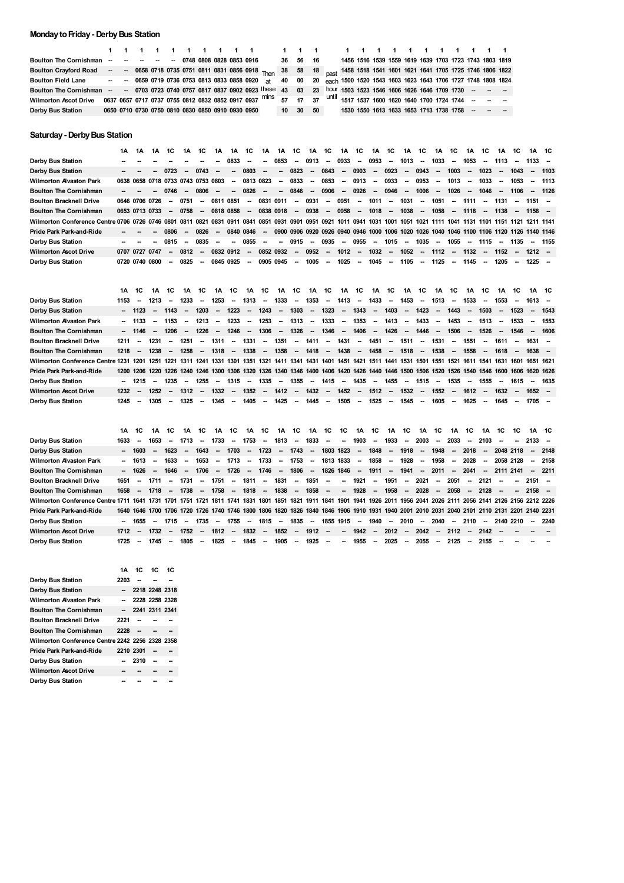## **MondaytoFriday- DerbyBus Station**

| Boulton The Cornishman -- -- -- -- -- 0748 0808 0828 0853 0916                                                                               |  |  |  |  |                                                   | 36 56 16 |  |  |  |  |  |  | 1456 1516 1539 1559 1619 1639 1703 1723 1743 1803 1819 |  |
|----------------------------------------------------------------------------------------------------------------------------------------------|--|--|--|--|---------------------------------------------------|----------|--|--|--|--|--|--|--------------------------------------------------------|--|
| Boulton Crayford Road -- - 0658 0718 0735 0751 0811 0831 0856 0918 Then 38 58 18 Dast 1458 1518 1541 1601 1621 1641 1705 1725 1746 1806 1822 |  |  |  |  |                                                   |          |  |  |  |  |  |  |                                                        |  |
| Boulton Field Lane - - 0659 0719 0736 0753 0813 0833 0858 0920 at 40 00 20 each 1500 1520 1543 1603 1623 1643 1706 1727 1748 1808 1824       |  |  |  |  |                                                   |          |  |  |  |  |  |  |                                                        |  |
| Boulton The Cornishman - - 0703 0723 0740 0757 0817 0837 0902 0923 these 43 03 23 hour 1503 1523 1546 1606 1626 1646 1709 1730 - - -         |  |  |  |  |                                                   |          |  |  |  |  |  |  |                                                        |  |
| Wilmorton Ascot Drive 0637 0657 0717 0737 0755 0812 0832 0852 0917 0937 Mins 57 17 37 Until 1517 1537 1600 1620 1640 1700 1724 1744 - - -    |  |  |  |  |                                                   |          |  |  |  |  |  |  |                                                        |  |
| Derby Bus Station                                                                                                                            |  |  |  |  | 0650 0710 0730 0750 0810 0830 0850 0910 0930 0950 | 10 30 50 |  |  |  |  |  |  | 1530 1550 1613 1633 1653 1713 1738 1758 - - - -        |  |

## **Saturday- DerbyBus Station**

|                                                                                                                                                                        | 1Α             | 1Α | 1Α | 1C     | 1Α                       | 1C                                 | 1Α                       | 1Α          | 1C          | 1A                       | 1A                       | 1C .             | 1A      | 1C     | 1A                       | 1C     | 1A       | 1C                       | 1A                       | 1C     | 1A      | 1C                       | 1A                       | 1C                       | 1A     | 1C                       | 1A 1C                                                                                     |         |
|------------------------------------------------------------------------------------------------------------------------------------------------------------------------|----------------|----|----|--------|--------------------------|------------------------------------|--------------------------|-------------|-------------|--------------------------|--------------------------|------------------|---------|--------|--------------------------|--------|----------|--------------------------|--------------------------|--------|---------|--------------------------|--------------------------|--------------------------|--------|--------------------------|-------------------------------------------------------------------------------------------|---------|
| Derby Bus Station                                                                                                                                                      |                |    |    |        |                          |                                    |                          | 0833        | $\sim$      | -                        | 0853                     | $\sim$           | 0913    | $\sim$ | 0933                     |        | $-0953$  | $\sim$                   | 1013                     | $\sim$ | 1033    | $\overline{\phantom{a}}$ | 1053                     | $\sim$                   | 1113   | $\overline{\phantom{a}}$ | $1133 -$                                                                                  |         |
| Derby Bus Station                                                                                                                                                      |                |    |    | 0723   | $\overline{\phantom{a}}$ | 0743                               | $\overline{\phantom{a}}$ | $\sim$      | 0803        | $\overline{\phantom{a}}$ | $\overline{\phantom{a}}$ | 0823             | $\sim$  | 0843   | $\overline{\phantom{a}}$ | 0903   | $\sim$   | 0923                     | $\overline{\phantom{a}}$ | 0943   | $\sim$  | 1003                     | $\overline{\phantom{a}}$ | 1023                     | $\sim$ | 1043                     | $\sim$                                                                                    | 1103    |
| <b>Wilmorton Avaston Park</b>                                                                                                                                          |                |    |    |        |                          | 0638 0658 0718 0733 0743 0753 0803 |                          |             | $-08130823$ |                          | $\sim$                   | 0833             | $\sim$  | 0853   | $\sim$                   | 0913   | $\sim$   | 0933                     | $\sim$                   | 0953   | $\sim$  | 1013                     | $\overline{\phantom{a}}$ | 1033                     | $\sim$ | 1053                     | $\sim$                                                                                    | 1113    |
| <b>Boulton The Cornishman</b>                                                                                                                                          |                |    |    | 0746   | $\overline{\phantom{a}}$ | 0806                               | $\overline{\phantom{a}}$ |             | $-0826$     | $\sim$                   | $\sim$                   | 0846             | $\sim$  | 0906   | $\sim$                   | 0926   | $\sim$   | 0946                     | $\sim$                   | 1006   |         | 1026                     | $\sim$                   | 1046 -                   |        | 1106                     |                                                                                           | -- 1126 |
| <b>Boulton Bracknell Drive</b>                                                                                                                                         | 0646 0706 0726 |    |    | $\sim$ | 0751                     | $\overline{\phantom{a}}$           |                          | 0811 0851   | $\sim$      | 0831                     | 0911                     |                  | - 0931  |        | -- 0951                  |        | -- 1011  | $\sim$                   | 1031                     | $\sim$ | 1051    | $\sim$                   | 1111                     | $\sim$                   | 1131   | $\overline{\phantom{a}}$ | $1151 -$                                                                                  |         |
| <b>Boulton The Cornishman</b>                                                                                                                                          | 0653 0713 0733 |    |    |        | $-0758$                  | $\sim$                             |                          | 0818 0858   | $\sim$      |                          |                          | 0838 0918 - 0938 |         |        | - 0958                   |        | -- 1018  | $\sim$                   | 1038                     | $\sim$ | 1058    | $\sim$                   | 1118 –                   |                          | 1138   | $\sim$                   | $1158 -$                                                                                  |         |
| Wilmorton Conference Centre 0706 0726 0746 0801 0811 0821 0831 0911 0841 0851 0931 0901 0951 0921 1011 0941 1031 1001 1051 1021 1111 1041 1131 1101 1151 1121 1211 141 |                |    |    |        |                          |                                    |                          |             |             |                          |                          |                  |         |        |                          |        |          |                          |                          |        |         |                          |                          |                          |        |                          |                                                                                           |         |
| <b>Pride Park Park-and-Ride</b>                                                                                                                                        |                |    | -- | 0806   | $\sim$                   | 0826                               | $\sim$                   | 0840 0846 - |             |                          |                          |                  |         |        |                          |        |          |                          |                          |        |         |                          |                          |                          |        |                          | 0900 0906 0920 0926 0940 0946 1000 1006 1020 1026 1040 1046 1100 1106 1120 1126 1140 1146 |         |
| Derby Bus Station                                                                                                                                                      |                |    | -- | 0815   | $\sim$                   | 0835                               | $\overline{\phantom{a}}$ |             | $-0855$     | $\sim$                   | $\sim$                   | 0915             | $\sim$  | 0935   | $\sim$                   | 0955   | $\sim$   | 1015                     | $\sim$                   | 1035 – |         | 1055                     |                          | - 1115 -                 |        | 1135                     |                                                                                           | $-1155$ |
| <b>Wilmorton Ascot Drive</b>                                                                                                                                           | 0707 0727 0747 |    |    | $\sim$ | 0812                     | $\overline{\phantom{a}}$           |                          | 0832 0912   | $\sim$      | 0852 0932                |                          |                  | $-0952$ |        | $-1012$                  |        | $- 1032$ | $\overline{\phantom{a}}$ | 1052                     |        | $-1112$ | $\sim$                   | 1132                     | $\sim$                   | 1152   | $\overline{\phantom{a}}$ | $1212 -$                                                                                  |         |
| Derby Bus Station                                                                                                                                                      | 0720 0740 0800 |    |    | -      | 0825                     | $\sim$                             |                          | 0845 0925   | -           | 0905 0945                |                          | $\sim$           | 1005    | $\sim$ | 1025                     | $\sim$ | 1045     | $\sim$                   | 1105                     | $\sim$ | 1125    | $\overline{\phantom{a}}$ | 1145                     | $\overline{\phantom{a}}$ | 1205   | $\sim$                   | $1225 -$                                                                                  |         |

|                                                                                                                                                          | 1Α     | 1C      | 1A     | 1C      | 1Α       | 1C                       | 1A                       | 1C     | 1A                       | 1C       | 1A     | 1C 1A 1C    |         |          | 1A 1C           |          | 1A      | 1C                       | 1A                       | 1C     | 1A 1C                    |                          | 1A                       | 1C                       | 1A     | 1C                       | 1A 1C                                                                                                                                       |        |
|----------------------------------------------------------------------------------------------------------------------------------------------------------|--------|---------|--------|---------|----------|--------------------------|--------------------------|--------|--------------------------|----------|--------|-------------|---------|----------|-----------------|----------|---------|--------------------------|--------------------------|--------|--------------------------|--------------------------|--------------------------|--------------------------|--------|--------------------------|---------------------------------------------------------------------------------------------------------------------------------------------|--------|
| Derby Bus Station                                                                                                                                        | 1153   | $\sim$  | 1213   | $\sim$  | 1233     | $\overline{\phantom{a}}$ | 1253                     | $\sim$ | 1313                     | $\sim$   | 1333   |             | - 1353  |          | - 1413          |          | -- 1433 | $\overline{\phantom{a}}$ | 1453                     | $\sim$ | 1513                     | $\overline{\phantom{a}}$ | 1533                     | $\overline{\phantom{a}}$ | 1553   | $\overline{\phantom{a}}$ | 1613 –                                                                                                                                      |        |
| Derby Bus Station                                                                                                                                        |        | $-1123$ |        | $-1143$ | $\sim$   | 1203                     | $\overline{\phantom{a}}$ | 1223   | $\sim$                   | 1243     | $\sim$ | 1303        | $\sim$  | 1323     | $\sim$          | $1343 -$ |         | 1403                     | $\overline{\phantom{a}}$ | 1423   | <b>Contract Contract</b> | 1443                     | $\sim$                   | $1503 -$                 |        | 1523                     | $\sim$                                                                                                                                      | 1543   |
| <b>Wilmorton Alvaston Park</b>                                                                                                                           |        | $-1133$ | $\sim$ | 1153    | $\sim$   | 1213                     | $\overline{\phantom{a}}$ | 1233   | $\sim$                   | 1253     | $\sim$ | 1313        | $\sim$  | 1333     | $\sim$          | 1353     | $\sim$  | 1413                     | $\sim$                   | 1433   | $\sim$                   | 1453                     | $\overline{\phantom{a}}$ | 1513 –                   |        | 1533                     | $\sim$                                                                                                                                      | 1553   |
| <b>Boulton The Cornishman</b>                                                                                                                            |        | $-1146$ | $\sim$ | 1206    | $\sim$   | 1226                     | $\sim$                   | 1246   | ---                      | $1306 -$ |        | 1326        |         | $- 1346$ | <b>Contract</b> | 1406 -   |         | 1426                     | <b>Contract</b>          |        | 1446 -- 1506             |                          | $\sim$                   | 1526 –                   |        |                          | 1546 - 1606                                                                                                                                 |        |
| <b>Boulton Bracknell Drive</b>                                                                                                                           | 1211   | $\sim$  | 1231   | $\sim$  | 1251     | $\sim$                   | 1311                     | $\sim$ | 1331                     | $\sim$   | 1351   |             | - 1411  | $\sim$   | 1431            |          | -- 1451 | $\sim$                   | 1511                     | $\sim$ | 1531                     | $\sim$                   | 1551                     | $\overline{\phantom{a}}$ | 1611   | $\overline{\phantom{a}}$ | 1631 –                                                                                                                                      |        |
| <b>Boulton The Cornishman</b>                                                                                                                            | 1218   | $\sim$  | 1238   |         | $- 1258$ | $\sim$                   | $1318 - 1338 -$          |        |                          |          |        | 1358 - 1418 |         |          | -- 1438 -- 1458 |          |         |                          | 1518 - 1538              |        |                          | $\sim$                   | 1558                     | $\sim$                   | 1618   | $\sim$                   | $1638 -$                                                                                                                                    |        |
| Wilmorton Conference Centre 1231 1201 1251 1221 1311 1241 1331 1301 1351 1321 1411 1341 1431 1401 1451 1421 1511 1441 1531 1501 1551 1521 1611 1541 1631 |        |         |        |         |          |                          |                          |        |                          |          |        |             |         |          |                 |          |         |                          |                          |        |                          |                          |                          |                          |        |                          | 1601 1651 1621                                                                                                                              |        |
| <b>Pride Park Park-and-Ride</b>                                                                                                                          |        |         |        |         |          |                          |                          |        |                          |          |        |             |         |          |                 |          |         |                          |                          |        |                          |                          |                          |                          |        |                          | 1200 1206 1220 1226 1240 1246 1300 1306 1320 1326 1340 1346 1400 1406 1420 1426 1440 1446 1500 1506 1520 1526 1540 1546 1600 1606 1620 1626 |        |
| <b>Derby Bus Station</b>                                                                                                                                 | $\sim$ | 1215    | $\sim$ | 1235    | $\sim$   | 1255                     | $\overline{\phantom{a}}$ | 1315   | $\overline{\phantom{a}}$ | 1335     | $\sim$ | 1355        | $\sim$  | 1415     | $\sim$          | 1435     | $\sim$  | 1455                     | $\overline{\phantom{a}}$ | 1515   | $\sim$                   | 1535                     | $\sim$                   | 1555                     | $\sim$ | 1615                     |                                                                                                                                             | - 1635 |
| <b>Wilmorton Ascot Drive</b>                                                                                                                             | 1232   | $\sim$  | 1252   | $\sim$  | 1312     | $\sim$                   | 1332                     | $\sim$ | 1352                     | $\sim$   | 1412   |             | $-1432$ |          | $-1452$         |          | $-1512$ | $\overline{\phantom{a}}$ | 1532                     | $\sim$ | 1552                     | $\overline{\phantom{a}}$ | 1612                     | $\sim$                   | 1632   | $\overline{\phantom{a}}$ | $1652 -$                                                                                                                                    |        |
| Derby Bus Station                                                                                                                                        | 1245   | $\sim$  | 1305   | $\sim$  | 1325     | $\sim$                   | 1345                     | $\sim$ | 1405                     | $\sim$   | 1425   | $\sim$      | 1445    | $\sim$   | 1505            | $\sim$   | 1525    | $\sim$                   | 1545                     | $\sim$ | 1605                     | $\overline{\phantom{a}}$ | 1625                     | $\sim$                   | 1645   | $\overline{\phantom{a}}$ | 1705 –                                                                                                                                      |        |

|                                                                                                                                                                         | 1Α                      | 1C      | 1A     | 1C             | 1A      | 1C   |                             |      | 1A 1C 1A 1C |        |        |               |             |            | 1A 1C 1A 1C 1C 1A 1C 1A 1C                                     |         |        |      | 1A 1C              | 1A     | 1C       |                                 | 1A 1C 1C |           | 1A 1C                                                                                                                                       |         |
|-------------------------------------------------------------------------------------------------------------------------------------------------------------------------|-------------------------|---------|--------|----------------|---------|------|-----------------------------|------|-------------|--------|--------|---------------|-------------|------------|----------------------------------------------------------------|---------|--------|------|--------------------|--------|----------|---------------------------------|----------|-----------|---------------------------------------------------------------------------------------------------------------------------------------------|---------|
| Derby Bus Station                                                                                                                                                       | 1633                    | $\sim$  | 1653   |                | -- 1713 |      | -- 1733 -- 1753 --          |      |             |        |        |               | 1813 - 1833 |            | - - 1903 -                                                     |         |        |      | 1933 - 2003 - 2033 |        |          | $-2103 -$                       |          |           | $-2133 -$                                                                                                                                   |         |
| Derby Bus Station                                                                                                                                                       |                         | $-1603$ | $\sim$ | 1623           | $\sim$  | 1643 | $\sim$                      | 1703 |             | - 1723 |        | -- 1743       | $\sim$      |            | 1803 1823 -- 1848                                              |         | $\sim$ | 1918 | -- 1948            | $\sim$ | $2018 -$ |                                 |          | 2048 2118 | $-2148$                                                                                                                                     |         |
| Wilmorton Alvaston Park                                                                                                                                                 |                         | $-1613$ | $\sim$ | 1633           | $\sim$  | 1653 | $\sim$                      | 1713 | $\sim$      |        |        | 1733 - 1753 - |             |            | 1813 1833 -- 1858                                              |         | $\sim$ |      | 1928 -- 1958       | $\sim$ | 2028     | $\sim$                          |          | 2058 2128 | - 2158                                                                                                                                      |         |
| <b>Boulton The Cornishman</b>                                                                                                                                           |                         | -- 1626 | $\sim$ | 1646           | $\sim$  | 1706 |                             |      |             |        |        |               |             |            | -- 1726 -- 1746 -- 1806 -- 1826-1846 -- 1911 --                |         |        |      | 1941 -- 2011       |        |          |                                 |          |           | $-2041 - 21112141 - 2211$                                                                                                                   |         |
| <b>Boulton Bracknell Drive</b>                                                                                                                                          | 1651 - 1711             |         |        |                | -- 1731 |      | - 1751 - 1811 - 1831 - 1851 |      |             |        |        |               |             |            | -- -- 1921 --                                                  |         |        |      |                    |        |          | 1951 -- 2021 -- 2051 -- 2121 -- |          |           | $-2151 -$                                                                                                                                   |         |
| <b>Boulton The Cornishman</b>                                                                                                                                           |                         |         |        |                |         |      |                             |      |             |        |        |               |             |            | 1658 - 1718 - 1738 - 1758 - 1818 - 1838 - 1858 - - 1928 -      |         |        |      |                    |        |          | 1958 - 2028 - 2058 - 2128 -     |          |           | $-2158 -$                                                                                                                                   |         |
| Wilmorton Conference Centre 1711 1641 1731 1701 1751 1721 1811 1741 1831 1801 1851 1821 1911 1841 1901 1941 1926 2011 1956 2041 2026 2111 2056 2141 2126 2156 2212 2226 |                         |         |        |                |         |      |                             |      |             |        |        |               |             |            |                                                                |         |        |      |                    |        |          |                                 |          |           |                                                                                                                                             |         |
| Pride Park Park-and-Ride                                                                                                                                                |                         |         |        |                |         |      |                             |      |             |        |        |               |             |            |                                                                |         |        |      |                    |        |          |                                 |          |           | 1640 1646 1700 1706 1720 1726 1740 1746 1800 1806 1820 1826 1840 1846 1906 1910 1931 1940 2001 2010 2031 2040 2101 2110 2131 2201 2140 2231 |         |
| Derby Bus Station                                                                                                                                                       |                         | -- 1655 | $\sim$ | 1715           | $\sim$  | 1735 | $\sim$                      | 1755 | $\sim$      | 1815   | $\sim$ | 1835          | $\sim$      | 1855 1915  |                                                                | -- 1940 | $\sim$ | 2010 | -- 2040            |        | $-2110$  | $\sim$                          |          | 2140 2210 |                                                                                                                                             | $-2240$ |
| <b>Wilmorton Ascot Drive</b>                                                                                                                                            | 1712 -- 1732 -- 1752 -- |         |        |                |         |      | 1812 - 1832 -               |      |             |        |        |               |             |            | 1852 - 1912 -- - 1942 -- 2012 -- 2042 -- 2112 -- 2142 -- -- -- |         |        |      |                    |        |          |                                 |          |           |                                                                                                                                             |         |
| Derby Bus Station                                                                                                                                                       | 1725                    | $\sim$  | 1745   | <b>Service</b> | 1805    |      | - 1825 - 1845 - 1905 - 1925 |      |             |        |        |               |             | $\sim 100$ | -- 1955 -- 2025 -- 2055 -- 2125                                |         |        |      |                    |        |          | - 2155 -                        |          |           |                                                                                                                                             |         |

|      |      |           | 1C                                                                                                                |
|------|------|-----------|-------------------------------------------------------------------------------------------------------------------|
| 2203 | --   |           |                                                                                                                   |
|      |      |           |                                                                                                                   |
|      |      |           |                                                                                                                   |
|      |      |           |                                                                                                                   |
| 2221 |      |           |                                                                                                                   |
| 2228 |      |           |                                                                                                                   |
|      |      |           |                                                                                                                   |
|      |      |           |                                                                                                                   |
|      | 2310 |           |                                                                                                                   |
|      |      |           |                                                                                                                   |
|      |      |           |                                                                                                                   |
|      |      | 2210 2301 | 1A 1C 1C<br>2218 2248 2318<br>2228 2258 2328<br>2241 2311 2341<br>Wilmorton Conference Centre 2242 2256 2328 2358 |